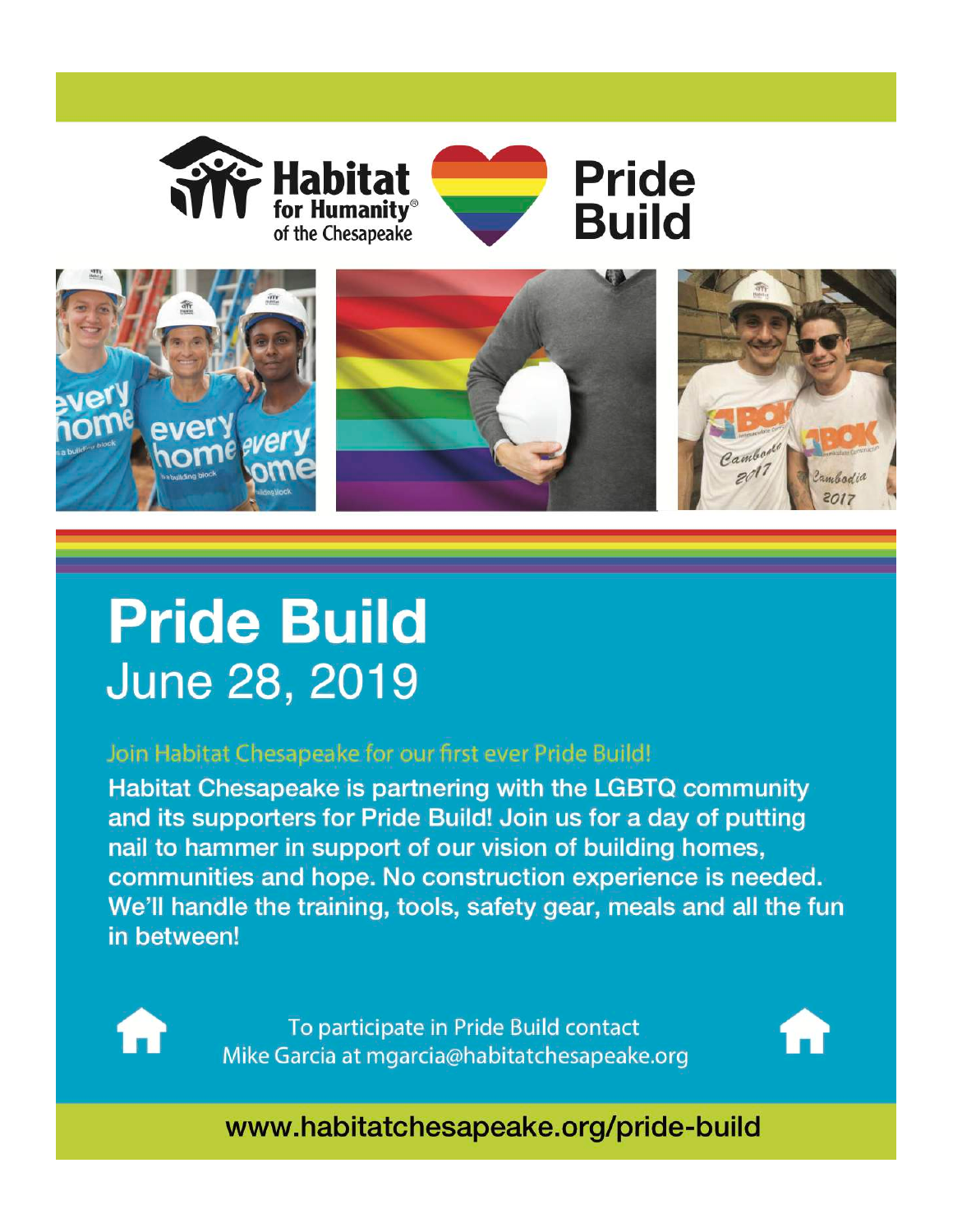



## **Pride Build** June 28, 2019

## Join Habitat Chesapeake for our first ever Pride Build!

Habitat Chesapeake is partnering with the LGBTQ community and its supporters for Pride Build! Join us for a day of putting nail to hammer in support of our vision of building homes, communities and hope. No construction experience is needed. We'll handle the training, tools, safety gear, meals and all the fun in between!



To participate in Pride Build contact Mike Garcia at mgarcia@habitatchesapeake.org



www.habitatchesapeake.org/pride-build